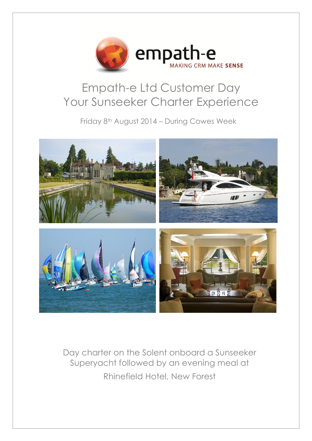

## Empath-e Ltd Customer Day Your Sunseeker Charter Experience

Friday 8th August 2014 – During Cowes Week



Day charter on the Solent onboard a Sunseeker Superyacht followed by an evening meal at Rhinefield Hotel, New Forest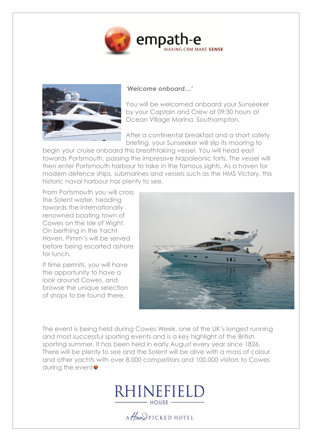



## *'Welcome onboard…'*

You will be welcomed onboard your Sunseeker by your Captain and Crew at 09:30 hours at Ocean Village Marina, Southampton.

After a continental breakfast and a short safety briefing, your Sunseeker will slip its mooring to

begin your cruise onboard this breathtaking vessel. You will head east towards Portsmouth, passing the impressive Napoleonic forts. The vessel will then enter Portsmouth harbour to take in the famous sights. As a haven for modern defence ships, submarines and vessels such as the HMS Victory, this historic naval harbour has plenty to see.

From Portsmouth you will cross the Solent water, heading towards the internationally renowned boating town of Cowes on the Isle of Wight. On berthing in the Yacht Haven, Pimm's will be served before being escorted ashore for lunch.

If time permits, you will have the opportunity to have a look around Cowes, and browse the unique selection of shops to be found there.



The event is being held during Cowes Week, one of the UK's longest running and most successful sporting events and is a key highlight of the British sporting summer. It has been held in early August every year since 1826. There will be plenty to see and the Solent will be alive with a mass of colour and other yachts with over 8,000 competitors and 100,000 visitors to Cowes during the event<sup>o</sup>



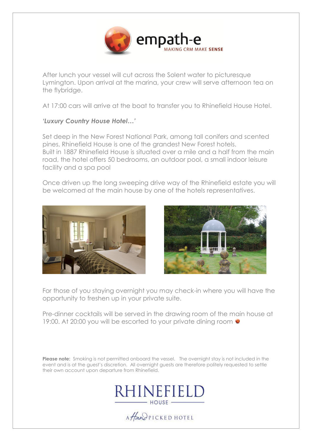

After lunch your vessel will cut across the Solent water to picturesque Lymington. Upon arrival at the marina, your crew will serve afternoon tea on the flybridge.

At 17:00 cars will arrive at the boat to transfer you to Rhinefield House Hotel.

## *'Luxury Country House Hotel…'*

Set deep in the New Forest National Park, among tall conifers and scented pines, Rhinefield House is one of the grandest New Forest hotels. Built in 1887 Rhinefield House is situated over a mile and a half from the main road, the hotel offers 50 bedrooms, an outdoor pool, a small indoor leisure facility and a spa pool

Once driven up the long sweeping drive way of the Rhinefield estate you will be welcomed at the main house by one of the hotels representatives.





For those of you staying overnight you may check-in where you will have the opportunity to freshen up in your private suite.

Pre-dinner cocktails will be served in the drawing room of the main house at 19:00. At 20:00 you will be escorted to your private dining room

**Please note:** Smoking is not permitted onboard the vessel. The overnight stay is not included in the event and is at the guest's discretion. All overnight guests are therefore politely requested to settle their own account upon departure from Rhinefield.